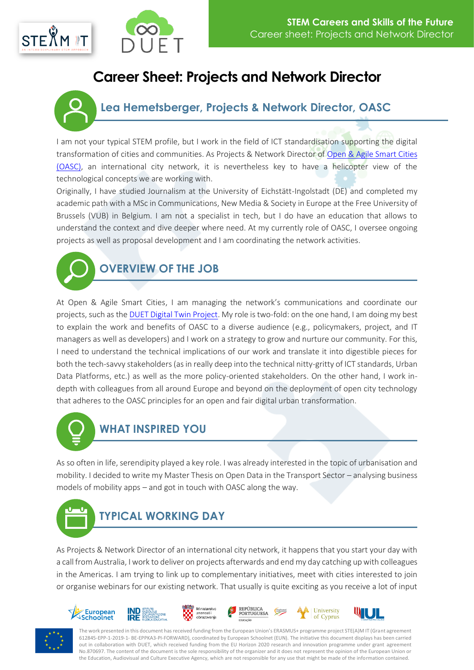



# **Career Sheet: Projects and Network Director**

#### **Lea Hemetsberger, Projects & Network Director, OASC**

I am not your typical STEM profile, but I work in the field of ICT standardisation supporting the digital transformation of cities and communities. As Projects & Network Director of [Open & Agile Smart Cities](https://oascities.org/) [\(OASC\),](https://oascities.org/) an international city network, it is nevertheless key to have a helicopter view of the technological concepts we are working with.

Originally, I have studied Journalism at the University of Eichstätt-Ingolstadt (DE) and completed my academic path with a MSc in Communications, New Media & Society in Europe at the Free University of Brussels (VUB) in Belgium. I am not a specialist in tech, but I do have an education that allows to understand the context and dive deeper where need. At my currently role of OASC, I oversee ongoing projects as well as proposal development and I am coordinating the network activities.



### **OVERVIEW OF THE JOB**

At Open & Agile Smart Cities, I am managing the network's communications and coordinate our projects, such as th[e DUET Digital Twin Project.](https://www.digitalurbantwins.com/) My role is two-fold: on the one hand, I am doing my best to explain the work and benefits of OASC to a diverse audience (e.g., policymakers, project, and IT managers as well as developers) and I work on a strategy to grow and nurture our community. For this, I need to understand the technical implications of our work and translate it into digestible pieces for both the tech-savvy stakeholders (as in really deep into the technical nitty-gritty of ICT standards, Urban Data Platforms, etc.) as well as the more policy-oriented stakeholders. On the other hand, I work indepth with colleagues from all around Europe and beyond on the deployment of open city technology that adheres to the OASC principles for an open and fair digital urban transformation.



## **WHAT INSPIRED YOU**

As so often in life, serendipity played a key role. I was already interested in the topic of urbanisation and mobility. I decided to write my Master Thesis on Open Data in the Transport Sector – analysing business models of mobility apps – and got in touch with OASC along the way.



As Projects & Network Director of an international city network, it happens that you start your day with a call from Australia, I work to deliver on projects afterwards and end my day catching up with colleagues in the Americas. I am trying to link up to complementary initiatives, meet with cities interested to join or organise webinars for our existing network. That usually is quite exciting as you receive a lot of input





The work presented in this document has received funding from the European Union's ERASMUS+ programme project STE(A)M IT (Grant agreement 612845-EPP-1-2019-1- BE-EPPKA3-PI-FORWARD), coordinated by European Schoolnet (EUN). The initiative this document displays has been carried out in collaboration with DUET, which received funding from the EU Horizon 2020 research and innovation programme under grant agreement No.870697. The content of the document is the sole responsibility of the organizer and it does not represent the opinion of the European Union or the Education, Audiovisual and Culture Executive Agency, which are not responsible for any use that might be made of the information contained.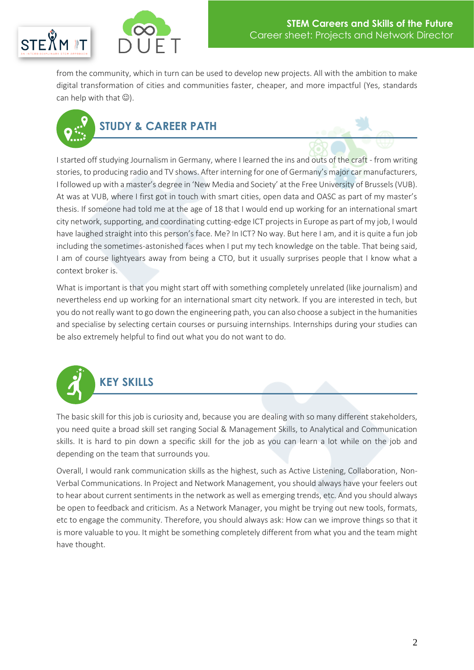



from the community, which in turn can be used to develop new projects. All with the ambition to make digital transformation of cities and communities faster, cheaper, and more impactful (Yes, standards can help with that  $\mathbb{Q}$ ).



I started off studying Journalism in Germany, where I learned the ins and outs of the craft - from writing stories, to producing radio and TV shows. After interning for one of Germany's major car manufacturers, I followed up with a master's degree in 'New Media and Society' at the Free University of Brussels (VUB). At was at VUB, where I first got in touch with smart cities, open data and OASC as part of my master's thesis. If someone had told me at the age of 18 that I would end up working for an international smart city network, supporting, and coordinating cutting-edge ICT projects in Europe as part of my job, I would have laughed straight into this person's face. Me? In ICT? No way. But here I am, and it is quite a fun job including the sometimes-astonished faces when I put my tech knowledge on the table. That being said, I am of course lightyears away from being a CTO, but it usually surprises people that I know what a context broker is.

What is important is that you might start off with something completely unrelated (like journalism) and nevertheless end up working for an international smart city network. If you are interested in tech, but you do not really want to go down the engineering path, you can also choose a subject in the humanities and specialise by selecting certain courses or pursuing internships. Internships during your studies can be also extremely helpful to find out what you do not want to do.



The basic skill for this job is curiosity and, because you are dealing with so many different stakeholders, you need quite a broad skill set ranging Social & Management Skills, to Analytical and Communication skills. It is hard to pin down a specific skill for the job as you can learn a lot while on the job and depending on the team that surrounds you.

Overall, I would rank communication skills as the highest, such as Active Listening, Collaboration, Non-Verbal Communications. In Project and Network Management, you should always have your feelers out to hear about current sentiments in the network as well as emerging trends, etc. And you should always be open to feedback and criticism. As a Network Manager, you might be trying out new tools, formats, etc to engage the community. Therefore, you should always ask: How can we improve things so that it is more valuable to you. It might be something completely different from what you and the team might have thought.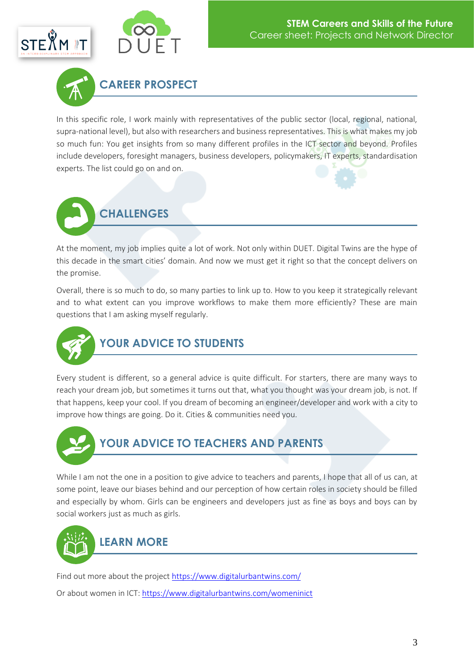





In this specific role, I work mainly with representatives of the public sector (local, regional, national, supra-national level), but also with researchers and business representatives. This is what makes my job so much fun: You get insights from so many different profiles in the ICT sector and beyond. Profiles include developers, foresight managers, business developers, policymakers, IT experts, standardisation experts. The list could go on and on.



At the moment, my job implies quite a lot of work. Not only within DUET. Digital Twins are the hype of this decade in the smart cities' domain. And now we must get it right so that the concept delivers on the promise.

Overall, there is so much to do, so many parties to link up to. How to you keep it strategically relevant and to what extent can you improve workflows to make them more efficiently? These are main questions that I am asking myself regularly.



Every student is different, so a general advice is quite difficult. For starters, there are many ways to reach your dream job, but sometimes it turns out that, what you thought was your dream job, is not. If that happens, keep your cool. If you dream of becoming an engineer/developer and work with a city to improve how things are going. Do it. Cities & communities need you.



While I am not the one in a position to give advice to teachers and parents, I hope that all of us can, at some point, leave our biases behind and our perception of how certain roles in society should be filled and especially by whom. Girls can be engineers and developers just as fine as boys and boys can by social workers just as much as girls.



Find out more about the projec[t https://www.digitalurbantwins.com/](https://www.digitalurbantwins.com/)

Or about women in ICT[: https://www.digitalurbantwins.com/womeninict](https://www.digitalurbantwins.com/womeninict)